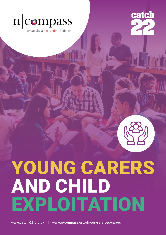

towards a brighter future



# YOUNG CARERS AND CHILD EXPLOITATION

**www.catch-22.org.uk | www.n-compass.org.uk/our-services/carers**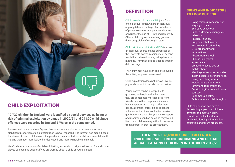

## CHILD EXPLOITATION

**12 720 children in England were identified by social services as being at risk of criminal exploitation by gangs in 2020/21 and 24 800 child abuse offences were recorded in England & Wales in the same period.** 

But we also know that these figures give an incomplete picture of risk to children as a significant proportion of child exploitation is never recorded. The internet has made it easier for abusers to reach children and the pandemic has affected some children's mental health, making them feel more isolated or depressed, and more vulnerable as a result.

Here's a brief explanation of child exploitation, a checklist of signs to look out for and some places you can find support if you are worried about a child or young person.

# **DEFINITION**

Child sexual exploitation (CSE) ) is a form of child sexual abuse, where an individual or group takes advantage of an imbalance of power to coerce, manipulate or deceive a child under the age of 18 into sexual activity. Often a child is given something (money, drink, drugs, fake affection) in return.

Child criminal exploitation (CCE) is where an individual or group takes advantage of their power to coerce, manipulate or deceive a child into criminal activity using the same methods. They may also be trapped through debt bondage.

The victim may have been exploited even if the activity appears consensual.

Child exploitation does not always involve physical contact; it can also occur online.

Young carers can be susceptible to grooming and exploitation because they are sometimes more isolated from friends due to their responsibilities and because perpetrators might offer them goods, attention, 'affection' or access to substances that they wouldn't otherwise get. Parents are not always able to support and monitor a child as much as they would like to, and children may withhold concerns from a parent in order to protect them.

## SIGNS AND INDICATORS TO LOOK OUT FOR:

- Going missing from home or staying out late.
- Secretive behaviour.
- Sudden, dramatic changes in behaviour.
- Physical injuries.
- Drug or alcohol misuse.
- Involvement in offending.
- STIs, pregnancy and terminations.
- Absent from school.
- Change in physical appearance.
- Greatly increased use of mobile phone.
- Wearing clothes or accessories in gang colours; getting tattoos.
- Using new slang words.
- Increasingly distant from family and former friends.
- Receipt of gifts from unknown sources.
- Poor mental health.
- Self-harm or suicidal thoughts.

Child exploitation can have a devastating impact on children's physical and mental health, confidence and self-esteem, family relationships, friendships, education and future prospects.

THERE WERE 73,518 RECORDED OFFENCES INCLUDING RAPE, ONLINE GROOMING AND SEXUAL ASSAULT AGAINST CHILDREN IN THE UK IN 2019/20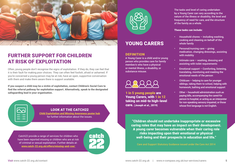

# FURTHER SUPPORT FOR CHILDREN AT RISK OF EXPLOITATION

Often, young people don't recognise the signs of exploitation. If they do, they can feel that it is their fault for making poor choices. They can often feel foolish, afraid or ashamed. If you're concerned a young person may be at risk, have an open, supportive conversation with them and make them aware there is support available.

If you suspect a child may be a victim of exploitation, contact Children's Social Care to find the referral pathway for exploitation support. Alternatively, speak to the designated safeguarding lead in your organisation.



#### LOOK AT THE CATCH22 [Child Exploitation and Missing Awareness poster hub](https://www.catch-22.org.uk/spot-the-signs-poster-hub/) for further information about the issues.

**catch** 

Catch22 provide a range of services for children who have been reported missing or children who are at risk of criminal or sexual exploitation. Further details at: [www.catch-22.org.uk/offers/missing-and-cse/](http://www.catch-22.org.uk/offers/missing-and-cse/ 
) 



## YOUNG CARERS

### DEFINITION

A Young Carer is a child and/or young person who provides care for family member/s who have a physical or mental illness, a disability, or substance misuse.



1 in 5 young people are Young Carers, with 1 in 12 taking on mid-to high-level care. (Joseph et al., 2019)

The tasks and level of caring undertaken by a Young Carer can vary according to the nature of the illness or disability, the level and frequency of need for care, and the structure of the family as a whole.

#### These tasks can include:

- Household chores including washing, cooking and cleaning on behalf of the whole family
- Personal/nursing care giving medication, changing dressings, assisting with mobility
- Intimate care washing, dressing and assisting with toilet requirements
- Emotional support Comforting, listening, translating, monitoring and meeting the emotional needs of the person
- Childcare helping to care for younger siblings, taking them to school, helping with homework, bathing and emotional support
- Other household administration such as paying bills, accompanying the cared-for person to hospital, or acting as an interpreter for non-speaking sensory impaired, or those whose first language is not English.

"Children should not undertake inappropriate or excessive caring roles that may have an impact on their development. A young carer becomes vulnerable when their caring role risks impacting upon their emotional or physical well-being and their prospects in education and life."

Care and Support Statutory Guidance issued under the Care Act 2014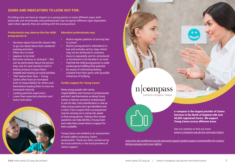## SIGNS AND INDICATORS TO LOOK OUT FOR:

Providing care can have an impact on a young person in many different ways, both physically and emotionally, and professionals may recognise different signs dependent upon what capacity they are working with the young person.

#### Professionals may observe that the child/ young person is:

#### Education professionals may:

- Secretive about home life, doesn't like to go into detail about their weekend/ evening activities
- Often low in mood
- Appears to be tired
- Becomes anxious or stressed this can be particularly about the person they care for and manifest itself in feeling anxious to leave them.
- Isolated and missing out social activities
- "Old" before their time Young Carers often have an increased level of responsibility for others and themselves leading them to have an increased maturity.
- Lacking parental supervision
- Lower than expected attention and lacks motivation



- Notice regular patterns of arriving late to school
- Notice young person's attendance is low and includes ad hoc days which may not be attributed to sickness
- Have to repeatedly ask for schoolwork or homework to be handed in on time
- Feel that the child/young person is under achieving/not fulfilling their potential
- Be aware of child being/feeling isolated from their peers with possible instances of bullying

#### Further support for Young Carers

#### Many young people with caring

responsibilities aren't known to professionals and don't see themselves as being Young Carers or feel too worried or embarrassed to ask for help. Early identification is vital as often young carers don't get identified until a crisis. If you suspect that a young person may be carrying out a caring role, speak to that young person. Asking a few simple questions can help identify a Young Carer and make them aware there is support for them available.

Young Carers are entitled to an assessment of need called a statutory Carers assessment. These are often carried out by the local authority or the local providers of Carers support.

 $n$ |compass towards a brighter future



n-compass is the largest provider of Carers Services in the North of England with over 40,000 registered Carers. We support Young Carers across different areas.

See our website to find out more [www.n-compass.org.uk/our-services/carers](http://www.n-compass.org.uk/our-services/carers
)

[www.nhs.uk/conditions/social-care-and-support-guide/support-and-benefits-for-carers/](http://www.nhs.uk/conditions/social-care-and-support-guide/support-and-benefits-for-carers/being-a-young-carer-your-rights/
) [being-a-young-carer-your-rights/](http://www.nhs.uk/conditions/social-care-and-support-guide/support-and-benefits-for-carers/being-a-young-carer-your-rights/
)